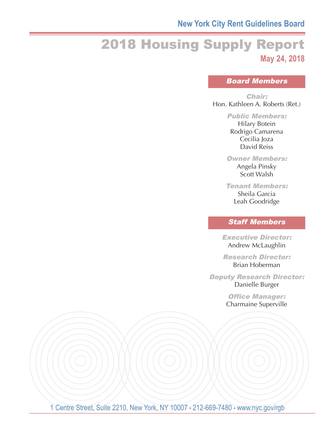## **New York City Rent Guidelines Board**

# 2018 Housing Supply Report **May 24, 2018**

## Board Members

#### Chair:

Hon. Kathleen A. Roberts (Ret.)

#### Public Members:

Hilary Botein Rodrigo Camarena Cecilia Joza David Reiss

#### Owner Members:

Angela Pinsky Scott Walsh

#### Tenant Members: Sheila Garcia

Leah Goodridge

## Staff Members

Executive Director: Andrew McLaughlin

Research Director: Brian Hoberman

#### Deputy Research Director: Danielle Burger

Office Manager: Charmaine Superville

1 Centre Street, Suite 2210, New York, NY 10007 · 212-669-7480 · www.nyc.gov/rgb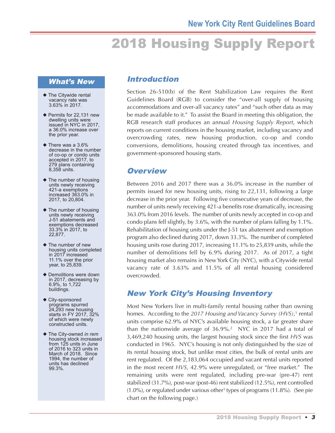# 2018 Housing Supply Report

#### What's New

- $\blacklozenge$  The Citywide rental vacancy rate was 3.63% in 2017.
- $\blacklozenge$  Permits for 22,131 new dwelling units were issued in NYC in 2017, a 36.0% increase over the prior year.
- $\blacklozenge$  There was a 3.6% decrease in the number of co-op or condo units accepted in 2017, to 279 plans containing 8,358 units.
- $\blacklozenge$  The number of housing units newly receiving 421-a exemptions increased 363.0% in 2017, to 20,804.
- $\blacklozenge$  The number of housing units newly receiving J-51 abatements and exemptions decreased 33.3% in 2017, to 22,877.
- $\blacklozenge$  The number of new housing units completed in 2017 increased 11.1% over the prior year, to 25,839.
- $\blacklozenge$  Demolitions were down in 2017, decreasing by 6.9%, to 1,722 buildings.
- $\blacklozenge$  City-sponsored programs spurred 24,293 new housing starts in FY 2017, 32% of which were newly constructed units.
- ◆ The City-owned *in rem* housing stock increased from 125 units in June of 2016 to 323 units in March of 2018. Since 1994, the number of units has declined 99.3%.

## Introduction

Section 26-510(b) of the Rent Stabilization Law requires the Rent Guidelines Board (RGB) to consider the "over-all supply of housing accommodations and over-all vacancy rates" and "such other data as may be made available to it." To assist the Board in meeting this obligation, the RGB research staff produces an annual *Housing Supply Report*, which reports on current conditions in the housing market, including vacancy and overcrowding rates, new housing production, co-op and condo conversions, demolitions, housing created through tax incentives, and government-sponsored housing starts.

## **Overview**

Between 2016 and 2017 there was a 36.0% increase in the number of permits issued for new housing units, rising to 22,131, following a large decrease in the prior year. Following five consecutive years of decrease, the number of units newly receiving 421-a benefits rose dramatically, increasing 363.0% from 2016 levels. The number of units newly accepted in co-op and condo plans fell slightly, by 3.6%, with the number of plans falling by 1.1%. Rehabilitation of housing units under the J-51 tax abatement and exemption program also declined during 2017, down 33.3%. The number of completed housing units rose during 2017, increasing 11.1% to 25,839 units, while the number of demolitions fell by 6.9% during 2017. As of 2017, a tight housing market also remains in New York City (NYC), with a Citywide rental vacancy rate of 3.63% and 11.5% of all rental housing considered overcrowded.

## New York City's Housing Inventory

Most New Yorkers live in multi-family rental housing rather than owning homes. According to the *2017 Housing and Vacancy Survey (HVS)*, <sup>1</sup> rental units comprise 62.9% of NYC's available housing stock, a far greater share than the nationwide average of 36.9%. <sup>2</sup> NYC in 2017 had a total of 3,469,240 housing units, the largest housing stock since the first *HVS* was conducted in 1965. NYC's housing is not only distinguished by the size of its rental housing stock, but unlike most cities, the bulk of rental units are rent regulated. Of the 2,183,064 occupied and vacant rental units reported in the most recent *HVS*, 42.9% were unregulated, or "free market." The remaining units were rent regulated, including pre-war (pre-47) rent stabilized (31.7%), post-war (post-46) rent stabilized (12.5%), rent controlled (1.0%), or regulated under various other <sup>3</sup> types of programs (11.8%). (See pie chart on the following page.)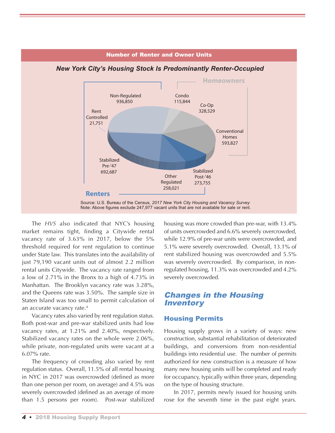

## *New York City's Housing Stock Is Predominantly Renter-Occupied*

Number of Renter and Owner Units

The *HVS* also indicated that NYC's housing market remains tight, finding a Citywide rental vacancy rate of 3.63% in 2017, below the 5% threshold required for rent regulation to continue under State law. This translates into the availability of just 79,190 vacant units out of almost 2.2 million rental units Citywide. The vacancy rate ranged from a low of 2.71% in the Bronx to a high of 4.73% in Manhattan. The Brooklyn vacancy rate was 3.28%, and the Queens rate was 3.50%. The sample size in Staten Island was too small to permit calculation of an accurate vacancy rate. 4

Vacancy rates also varied by rent regulation status. Both post-war and pre-war stabilized units had low vacancy rates, at 1.21% and 2.40%, respectively. Stabilized vacancy rates on the whole were 2.06%, while private, non-regulated units were vacant at a 6.07% rate.

The frequency of crowding also varied by rent regulation status. Overall, 11.5% of all rental housing in NYC in 2017 was overcrowded (defined as more than one person per room, on average) and 4.5% was severely overcrowded (defined as an average of more than 1.5 persons per room). Post-war stabilized housing was more crowded than pre-war, with 13.4% of units overcrowded and 6.6% severely overcrowded, while 12.9% of pre-war units were overcrowded, and 5.1% were severely overcrowded. Overall, 13.1% of rent stabilized housing was overcrowded and 5.5% was severely overcrowded. By comparison, in nonregulated housing, 11.3% was overcrowded and 4.2% severely overcrowded.

## Changes in the Housing **Inventory**

#### Housing Permits

Housing supply grows in a variety of ways: new construction, substantial rehabilitation of deteriorated buildings, and conversions from non-residential buildings into residential use. The number of permits authorized for new construction is a measure of how many new housing units will be completed and ready for occupancy, typically within three years, depending on the type of housing structure.

In 2017, permits newly issued for housing units rose for the seventh time in the past eight years.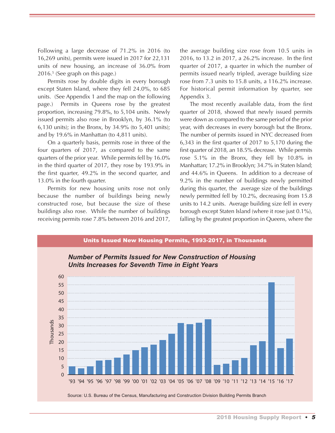Following a large decrease of 71.2% in 2016 (to 16,269 units), permits were issued in 2017 for 22,131 units of new housing, an increase of 36.0% from 2016. <sup>5</sup> (See graph on this page.)

Permits rose by double digits in every borough except Staten Island, where they fell 24.0%, to 685 units. (See Appendix 1 and the map on the following page.) Permits in Queens rose by the greatest proportion, increasing 79.8%, to 5,104 units. Newly issued permits also rose in Brooklyn, by 36.1% (to 6,130 units); in the Bronx, by 34.9% (to 5,401 units); and by 19.6% in Manhattan (to 4,811 units).

On a quarterly basis, permits rose in three of the four quarters of 2017, as compared to the same quarters of the prior year. While permits fell by 16.0% in the third quarter of 2017, they rose by 193.9% in the first quarter, 49.2% in the second quarter, and 13.0% in the fourth quarter.

Permits for new housing units rose not only because the number of buildings being newly constructed rose, but because the size of these buildings also rose. While the number of buildings receiving permits rose 7.8% between 2016 and 2017, the average building size rose from 10.5 units in 2016, to 13.2 in 2017, a 26.2% increase. In the first quarter of 2017, a quarter in which the number of permits issued nearly tripled, average building size rose from 7.3 units to 15.8 units, a 116.2% increase. For historical permit information by quarter, see Appendix 3.

The most recently available data, from the first quarter of 2018, showed that newly issued permits were down as compared to the same period of the prior year, with decreases in every borough but the Bronx. The number of permits issued in NYC decreased from 6,343 in the first quarter of 2017 to 5,170 during the first quarter of 2018, an 18.5% decrease. While permits rose 5.1% in the Bronx, they fell by 10.8% in Manhattan; 17.2% in Brooklyn; 34.7% in Staten Island; and 44.6% in Queens. In addition to a decrease of 9.2% in the number of buildings newly permitted during this quarter, the average size of the buildings newly permitted fell by 10.2%, decreasing from 15.8 units to 14.2 units. Average building size fell in every borough except Staten Island (where it rose just 0.1%), falling by the greatest proportion in Queens, where the

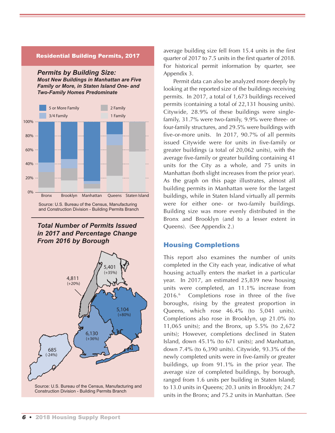#### Residential Building Permits, 2017

*Permits by Building Size: Most New Buildings in Manhattan are Five Family or More, in Staten Island One- and Two-Family Homes Predominate*



Source: U.S. Bureau of the Census, Manufacturing and Construction Division - Building Permits Branch

#### *Total Number of Permits Issued in 2017 and Percentage Change From 2016 by Borough*



average building size fell from 15.4 units in the first quarter of 2017 to 7.5 units in the first quarter of 2018. For historical permit information by quarter, see Appendix 3.

Permit data can also be analyzed more deeply by looking at the reported size of the buildings receiving permits. In 2017, a total of 1,673 buildings received permits (containing a total of 22,131 housing units). Citywide, 28.9% of these buildings were singlefamily, 31.7% were two-family, 9.9% were three- or four-family structures, and 29.5% were buildings with five-or-more units. In 2017, 90.7% of all permits issued Citywide were for units in five-family or greater buildings (a total of 20,062 units), with the average five-family or greater building containing 41 units for the City as a whole, and 75 units in Manhattan (both slight increases from the prior year). As the graph on this page illustrates, almost all building permits in Manhattan were for the largest buildings, while in Staten Island virtually all permits were for either one- or two-family buildings. Building size was more evenly distributed in the Bronx and Brooklyn (and to a lesser extent in Queens). (See Appendix 2.)

#### Housing Completions

This report also examines the number of units completed in the City each year, indicative of what housing actually enters the market in a particular year. In 2017, an estimated 25,839 new housing units were completed, an 11.1% increase from 2016. <sup>6</sup> Completions rose in three of the five boroughs, rising by the greatest proportion in Queens, which rose 46.4% (to 5,041 units). Completions also rose in Brooklyn, up 21.0% (to 11,065 units); and the Bronx, up 5.5% (to 2,672 units); However, completions declined in Staten Island, down 45.1% (to 671 units); and Manhattan, down 7.4% (to 6,390 units). Citywide, 93.3% of the newly completed units were in five-family or greater buildings, up from 91.1% in the prior year. The average size of completed buildings, by borough, ranged from 1.6 units per building in Staten Island; to 13.0 units in Queens; 20.3 units in Brooklyn; 24.7 units in the Bronx; and 75.2 units in Manhattan. (See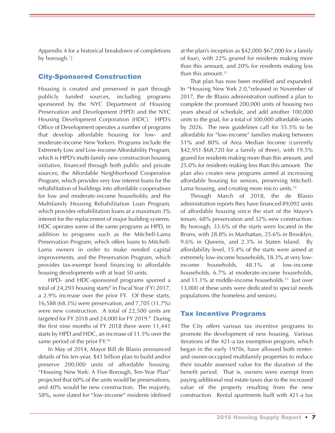Appendix 4 for a historical breakdown of completions by borough.<sup>7</sup>)

#### City-Sponsored Construction

Housing is created and preserved in part through publicly funded sources, including programs sponsored by the NYC Department of Housing Preservation and Development (HPD) and the NYC Housing Development Corporation (HDC). HPD's Office of Development operates a number of programs that develop affordable housing for low- and moderate-income New Yorkers. Programs include the Extremely Low and Low-Income Affordability Program, which is HPD's multi-family new construction housing initiative, financed through both public and private sources; the Affordable Neighborhood Cooperative Program, which provides very low interest loans for the rehabilitation of buildings into affordable cooperatives for low and moderate-income households; and the Multifamily Housing Rehabilitation Loan Program, which provides rehabilitation loans at a maximum 3% interest for the replacement of major building systems. HDC operates some of the same programs as HPD, in addition to programs such as the Mitchell-Lama Preservation Program, which offers loans to Mitchell-Lama owners in order to make needed capital improvements, and the Preservation Program, which provides tax-exempt bond financing to affordable housing developments with at least 50 units.

HPD- and HDC-sponsored programs spurred a total of  $24,293$  housing starts<sup>8</sup> in Fiscal Year (FY) 2017, a 2.9% increase over the prior FY. Of these starts, 16,588 (68.3%) were preservation, and 7,705 (31.7%) were new construction. A total of 22,500 units are targeted for FY 2018 and 24,000 for FY 2019. <sup>9</sup> During the first nine months of FY 2018 there were 11,441 starts by HPD and HDC, an increase of 11.5% over the same period of the prior FY.<sup>10</sup>

In May of 2014, Mayor Bill de Blasio announced details of his ten-year, \$41 billion plan to build and/or preserve 200,000 units of affordable housing. "Housing New York: A Five-Borough, Ten-Year Plan" projected that 60% of the units would be preservations, and 40% would be new construction. The majority, 58%, were slated for "low-income" residents (defined

at the plan's inception as \$42,000-\$67,000 for a family of four), with 22% geared for residents making more than this amount, and 20% for residents making less than this amount. 11

That plan has now been modified and expanded. In "Housing New York 2.0,"released in November of 2017, the de Blasio administration outlined a plan to complete the promised 200,000 units of housing two years ahead of schedule, and add another 100,000 units to the goal, for a total of 300,000 affordable units by 2026. The new guidelines call for 55.5% to be affordable for "low-income" families making between 51% and 80% of Area Median Income (currently \$42,951-\$68,720 for a family of three), with 19.5% geared for residents making more than this amount, and 25.0% for residents making less than this amount. The plan also creates new programs aimed at increasing affordable housing for seniors, preserving Mitchell-Lama housing, and creating more micro units.<sup>12</sup>

Through March of 2018, the de Blasio administration reports they have financed 89,092 units of affordable housing since the start of the Mayor's tenure, 68% preservation and 32% new construction. By borough, 33.6% of the starts were located in the Bronx, with 28.8% in Manhattan, 25.6% in Brooklyn, 9.6% in Queens, and 2.3% in Staten Island. By affordability level, 15.4% of the starts were aimed at extremely low-income households, 18.3% at very lowincome households, 48.1% at low-income households, 6.7% at moderate-income households, and 11.1% at middle-income households. <sup>13</sup> Just over 13,000 of these units were dedicated to special needs populations (the homeless and seniors).

#### Tax Incentive Programs

The City offers various tax incentive programs to promote the development of new housing. Various iterations of the 421-a tax exemption program, which began in the early 1970s, have allowed both renterand owner-occupied multifamily properties to reduce their taxable assessed value for the duration of the benefit period. That is, owners were exempt from paying additional real estate taxes due to the increased value of the property resulting from the new construction. Rental apartments built with 421-a tax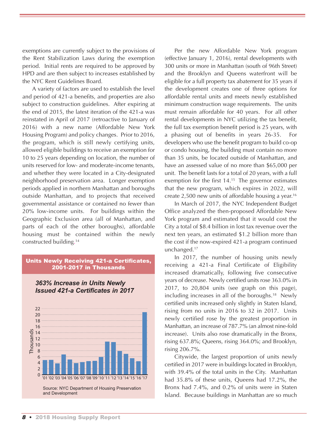exemptions are currently subject to the provisions of the Rent Stabilization Laws during the exemption period. Initial rents are required to be approved by HPD and are then subject to increases established by the NYC Rent Guidelines Board.

A variety of factors are used to establish the level and period of 421-a benefits, and properties are also subject to construction guidelines. After expiring at the end of 2015, the latest iteration of the 421-a was reinstated in April of 2017 (retroactive to January of 2016) with a new name (Affordable New York Housing Program) and policy changes. Prior to 2016, the program, which is still newly certifying units, allowed eligible buildings to receive an exemption for 10 to 25 years depending on location, the number of units reserved for low- and moderate-income tenants, and whether they were located in a City-designated neighborhood preservation area. Longer exemption periods applied in northern Manhattan and boroughs outside Manhattan, and to projects that received governmental assistance or contained no fewer than 20% low-income units. For buildings within the Geographic Exclusion area (all of Manhattan, and parts of each of the other boroughs), affordable housing must be contained within the newly constructed building. 14

#### Units Newly Receiving 421-a Certificates, 2001-2017 in Thousands



#### *363% Increase in Units Newly Issued 421-a Certificates in 2017*

Per the new Affordable New York program (effective January 1, 2016), rental developments with 300 units or more in Manhattan (south of 96th Street) and the Brooklyn and Queens waterfront will be eligible for a full property tax abatement for 35 years if the development creates one of three options for affordable rental units and meets newly established minimum construction wage requirements. The units must remain affordable for 40 years. For all other rental developments in NYC utilizing the tax benefit, the full tax exemption benefit period is 25 years, with a phasing out of benefits in years 26-35. For developers who use the benefit program to build co-op or condo housing, the building must contain no more than 35 units, be located outside of Manhattan, and have an assessed value of no more than \$65,000 per unit. The benefit lasts for a total of 20 years, with a full exemption for the first 14. <sup>15</sup> The governor estimates that the new program, which expires in 2022, will create 2,500 new units of affordable housing a year. 16

In March of 2017, the NYC Independent Budget Office analyzed the then-proposed Affordable New York program and estimated that it would cost the City a total of \$8.4 billion in lost tax revenue over the next ten years, an estimated \$1.2 billion more than the cost if the now-expired 421-a program continued unchanged. 17

In 2017, the number of housing units newly receiving a 421-a Final Certificate of Eligibility increased dramatically, following five consecutive years of decrease. Newly certified units rose 363.0% in 2017, to 20,804 units (see graph on this page), including increases in all of the boroughs. <sup>18</sup> Newly certified units increased only slightly in Staten Island, rising from no units in 2016 to 32 in 2017. Units newly certified rose by the greatest proportion in Manhattan, an increase of 787.7% (an almost nine-fold increase). Units also rose dramatically in the Bronx, rising 637.8%; Queens, rising 364.0%; and Brooklyn, rising 206.7%.

Citywide, the largest proportion of units newly certified in 2017 were in buildings located in Brooklyn, with 39.4% of the total units in the City. Manhattan had 35.8% of these units, Queens had 17.2%, the Bronx had 7.4%, and 0.2% of units were in Staten Island. Because buildings in Manhattan are so much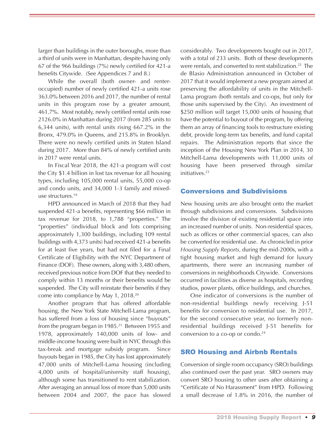larger than buildings in the outer boroughs, more than a third of units were in Manhattan, despite having only 67 of the 966 buildings (7%) newly certified for 421-a benefits Citywide. (See Appendices 7 and 8.)

While the overall (both owner- and renteroccupied) number of newly certified 421-a units rose 363.0% between 2016 and 2017, the number of rental units in this program rose by a greater amount, 461.7%. Most notably, newly certified rental units rose 2126.0% in Manhattan during 2017 (from 285 units to 6,344 units), with rental units rising 667.2% in the Bronx, 479.0% in Queens, and 215.8% in Brooklyn. There were no newly certified units in Staten Island during 2017. More than 84% of newly certified units in 2017 were rental units.

In Fiscal Year 2018, the 421-a program will cost the City \$1.4 billion in lost tax revenue for all housing types, including 105,000 rental units, 55,000 co-op and condo units, and 34,000 1-3 family and mixeduse structures. 19

HPD announced in March of 2018 that they had suspended 421-a benefits, representing \$66 million in tax revenue for 2018, to 1,788 "properties." The "properties" (individual block and lots comprising approximately 1,300 buildings, including 109 rental buildings with 4,373 units) had received 421-a benefits for at least five years, but had not filed for a Final Certificate of Eligibility with the NYC Department of Finance (DOF). These owners, along with 3,480 others, received previous notice from DOF that they needed to comply within 13 months or their benefits would be suspended. The City will reinstate their benefits if they come into compliance by May 1, 2018. 20

Another program that has offered affordable housing, the New York State Mitchell-Lama program, has suffered from a loss of housing since "buyouts" from the program began in 1985. <sup>21</sup> Between 1955 and 1978, approximately 140,000 units of low- and middle-income housing were built in NYC through this tax-break and mortgage subsidy program. Since buyouts began in 1985, the City has lost approximately 47,000 units of Mitchell-Lama housing (including 4,000 units of hospital/university staff housing), although some has transitioned to rent stabilization. After averaging an annual loss of more than 5,000 units between 2004 and 2007, the pace has slowed

considerably. Two developments bought out in 2017, with a total of 233 units. Both of these developments were rentals, and converted to rent stabilization. <sup>22</sup> The de Blasio Administration announced in October of 2017 that it would implement a new program aimed at preserving the affordability of units in the Mitchell-Lama program (both rentals and co-ops, but only for those units supervised by the City). An investment of \$250 million will target 15,000 units of housing that have the potential to buyout of the program, by offering them an array of financing tools to restructure existing debt, provide long-term tax benefits, and fund capital repairs. The Administration reports that since the inception of the Housing New York Plan in 2014, 30 Mitchell-Lama developments with 11,000 units of housing have been preserved through similar initiatives. 23

#### Conversions and Subdivisions

New housing units are also brought onto the market through subdivisions and conversions. Subdivisions involve the division of existing residential space into an increased number of units. Non-residential spaces, such as offices or other commercial spaces, can also be converted for residential use. As chronicled in prior *Housing Supply Reports*, during the mid-2000s, with a tight housing market and high demand for luxury apartments, there were an increasing number of conversions in neighborhoods Citywide. Conversions occurred in facilities as diverse as hospitals, recording studios, power plants, office buildings, and churches.

One indicator of conversions is the number of non-residential buildings newly receiving J-51 benefits for conversion to residential use. In 2017, for the second consecutive year, no formerly nonresidential buildings received J-51 benefits for conversion to a co-op or condo. 24

#### SRO Housing and Airbnb Rentals

Conversion of single room occupancy (SRO) buildings also continued over the past year. SRO owners may convert SRO housing to other uses after obtaining a "Certificate of No Harassment" from HPD. Following a small decrease of 1.8% in 2016, the number of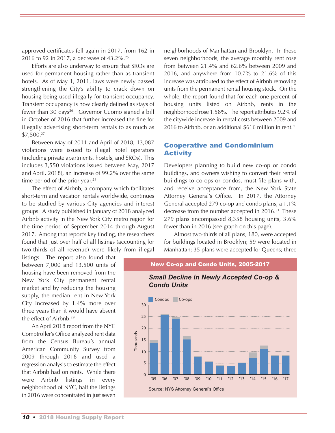approved certificates fell again in 2017, from 162 in 2016 to 92 in 2017, a decrease of 43.2%. 25

Efforts are also underway to ensure that SROs are used for permanent housing rather than as transient hotels. As of May 1, 2011, laws were newly passed strengthening the City's ability to crack down on housing being used illegally for transient occupancy. Transient occupancy is now clearly defined as stays of fewer than 30 days<sup>26</sup>. Governor Cuomo signed a bill in October of 2016 that further increased the fine for illegally advertising short-term rentals to as much as \$7,500. 27

Between May of 2011 and April of 2018, 13,087 violations were issued to illegal hotel operators (including private apartments, hostels, and SROs). This includes 3,550 violations issued between May, 2017 and April, 2018), an increase of 99.2% over the same time period of the prior year.<sup>28</sup>

The effect of Airbnb, a company which facilitates short-term and vacation rentals worldwide, continues to be studied by various City agencies and interest groups. A study published in January of 2018 analyzed Airbnb activity in the New York City metro region for the time period of September 2014 through August 2017. Among that report's key finding, the researchers found that just over half of all listings (accounting for two-thirds of all revenue) were likely from illegal

listings. The report also found that between 7,000 and 13,500 units of housing have been removed from the New York City permanent rental market and by reducing the housing supply, the median rent in New York City increased by 1.4% more over three years than it would have absent the effect of Airbnb. 29

An April 2018 report from the NYC Comptroller's Office analyzed rent data from the Census Bureau's annual American Community Survey from 2009 through 2016 and used a regression analysis to estimate the effect that Airbnb had on rents. While there were Airbnb listings in every neighborhood of NYC, half the listings in 2016 were concentrated in just seven

neighborhoods of Manhattan and Brooklyn. In these seven neighborhoods, the average monthly rent rose from between 21.4% and 62.6% between 2009 and 2016, and anywhere from 10.7% to 21.6% of this increase was attributed to the effect of Airbnb removing units from the permanent rental housing stock. On the whole, the report found that for each one percent of housing units listed on Airbnb, rents in the neighborhood rose 1.58%. The report attributes 9.2% of the citywide increase in rental costs between 2009 and 2016 to Airbnb, or an additional \$616 million in rent. 30

#### Cooperative and Condominium **Activity**

Developers planning to build new co-op or condo buildings, and owners wishing to convert their rental buildings to co-ops or condos, must file plans with, and receive acceptance from, the New York State Attorney General's Office. In 2017, the Attorney General accepted 279 co-op and condo plans, a 1.1% decrease from the number accepted in 2016. <sup>31</sup> These 279 plans encompassed 8,358 housing units, 3.6% fewer than in 2016 (see graph on this page).

Almost two-thirds of all plans, 180, were accepted for buildings located in Brooklyn; 59 were located in Manhattan; 35 plans were accepted for Queens; three

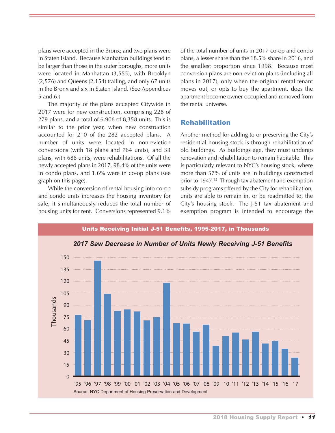plans were accepted in the Bronx; and two plans were in Staten Island. Because Manhattan buildings tend to be larger than those in the outer boroughs, more units were located in Manhattan (3,555), with Brooklyn (2,576) and Queens (2,154) trailing, and only 67 units in the Bronx and six in Staten Island. (See Appendices 5 and 6.)

The majority of the plans accepted Citywide in 2017 were for new construction, comprising 228 of 279 plans, and a total of 6,906 of 8,358 units. This is similar to the prior year, when new construction accounted for 210 of the 282 accepted plans. A number of units were located in non-eviction conversions (with 18 plans and 764 units), and 33 plans, with 688 units, were rehabilitations. Of all the newly accepted plans in 2017, 98.4% of the units were in condo plans, and 1.6% were in co-op plans (see graph on this page).

While the conversion of rental housing into co-op and condo units increases the housing inventory for sale, it simultaneously reduces the total number of housing units for rent. Conversions represented 9.1%

of the total number of units in 2017 co-op and condo plans, a lesser share than the 18.5% share in 2016, and the smallest proportion since 1998. Because most conversion plans are non-eviction plans (including all plans in 2017), only when the original rental tenant moves out, or opts to buy the apartment, does the apartment become owner-occupied and removed from the rental universe.

#### Rehabilitation

Another method for adding to or preserving the City's residential housing stock is through rehabilitation of old buildings. As buildings age, they must undergo renovation and rehabilitation to remain habitable. This is particularly relevant to NYC's housing stock, where more than 57% of units are in buildings constructed prior to 1947. <sup>32</sup> Through tax abatement and exemption subsidy programs offered by the City for rehabilitation, units are able to remain in, or be readmitted to, the City's housing stock. The J-51 tax abatement and exemption program is intended to encourage the

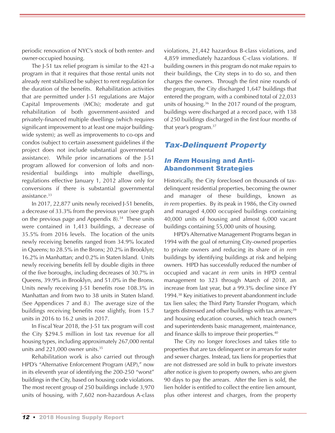periodic renovation of NYC's stock of both renter- and owner-occupied housing.

The J-51 tax relief program is similar to the 421-a program in that it requires that those rental units not already rent stabilized be subject to rent regulation for the duration of the benefits. Rehabilitation activities that are permitted under J-51 regulations are Major Capital Improvements (MCIs); moderate and gut rehabilitation of both government-assisted and privately-financed multiple dwellings (which requires significant improvement to at least one major buildingwide system); as well as improvements to co-ops and condos (subject to certain assessment guidelines if the project does not include substantial governmental assistance). While prior incarnations of the J-51 program allowed for conversion of lofts and nonresidential buildings into multiple dwellings, regulations effective January 1, 2012 allow only for conversions if there is substantial governmental assistance. 33

In 2017, 22,877 units newly received J-51 benefits, a decrease of 33.3% from the previous year (see graph on the previous page and Appendix 8). <sup>34</sup> These units were contained in 1,413 buildings, a decrease of 35.5% from 2016 levels. The location of the units newly receiving benefits ranged from 34.9% located in Queens; to 28.5% in the Bronx; 20.2% in Brooklyn; 16.2% in Manhattan; and 0.2% in Staten Island. Units newly receiving benefits fell by double digits in three of the five boroughs, including decreases of 30.7% in Queens, 39.9% in Brooklyn, and 51.0% in the Bronx. Units newly receiving J-51 benefits rose 108.3% in Manhattan and from two to 38 units in Staten Island. (See Appendices 7 and 8.) The average size of the buildings receiving benefits rose slightly, from 15.7 units in 2016 to 16.2 units in 2017.

In Fiscal Year 2018, the J-51 tax program will cost the City \$294.5 million in lost tax revenue for all housing types, including approximately 267,000 rental units and 221,000 owner units. 35

Rehabilitation work is also carried out through HPD's "Alternative Enforcement Program (AEP)," now in its eleventh year of identifying the 200-250 "worst" buildings in the City, based on housing code violations. The most recent group of 250 buildings include 3,970 units of housing, with 7,602 non-hazardous A-class violations, 21,442 hazardous B-class violations, and 4,859 immediately hazardous C-class violations. If building owners in this program do not make repairs to their buildings, the City steps in to do so, and then charges the owners. Through the first nine rounds of the program, the City discharged 1,647 buildings that entered the program, with a combined total of 22,033 units of housing. <sup>36</sup> In the 2017 round of the program, buildings were discharged at a record pace, with 138 of 250 buildings discharged in the first four months of that year's program. 37

## Tax-Delinquent Property

#### In Rem Housing and Anti-Abandonment Strategies

Historically, the City foreclosed on thousands of taxdelinquent residential properties, becoming the owner and manager of these buildings, known as *in rem* properties. By its peak in 1986, the City owned and managed 4,000 occupied buildings containing 40,000 units of housing and almost 6,000 vacant buildings containing 55,000 units of housing.

HPD's Alternative Management Programs began in 1994 with the goal of returning City-owned properties to private owners and reducing its share of *in rem* buildings by identifying buildings at risk and helping owners. HPD has successfully reduced the number of occupied and vacant *in rem* units in HPD central management to 323 through March of 2018, an increase from last year, but a 99.3% decline since FY 1994. <sup>38</sup> Key initiatives to prevent abandonment include tax lien sales; the Third Party Transfer Program, which targets distressed and other buildings with tax arrears; 39 and housing education courses, which teach owners and superintendents basic management, maintenance, and finance skills to improve their properties. 40

The City no longer forecloses and takes title to properties that are tax delinquent or in arrears for water and sewer charges. Instead, tax liens for properties that are not distressed are sold in bulk to private investors after notice is given to property owners, who are given 90 days to pay the arrears. After the lien is sold, the lien holder is entitled to collect the entire lien amount, plus other interest and charges, from the property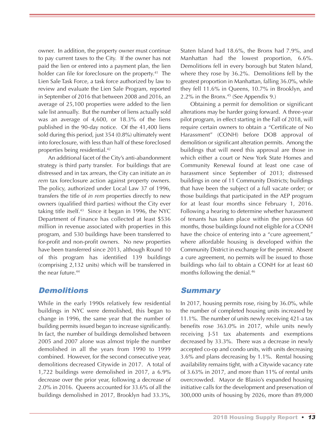owner. In addition, the property owner must continue to pay current taxes to the City. If the owner has not paid the lien or entered into a payment plan, the lien holder can file for foreclosure on the property. <sup>41</sup> The Lien Sale Task Force, a task force authorized by law to review and evaluate the Lien Sale Program, reported in September of 2016 that between 2008 and 2016, an average of 25,100 properties were added to the lien sale list annually. But the number of liens actually sold was an average of 4,600, or 18.3% of the liens published in the 90-day notice. Of the 41,400 liens sold during this period, just 354 (0.8%) ultimately went into foreclosure, with less than half of these foreclosed properties being residential. 42

An additional facet of the City's anti-abandonment strategy is third party transfer. For buildings that are distressed and in tax arrears, the City can initiate an *in rem* tax foreclosure action against property owners. The policy, authorized under Local Law 37 of 1996, transfers the title of *in rem* properties directly to new owners (qualified third parties) without the City ever taking title itself. <sup>43</sup> Since it began in 1996, the NYC Department of Finance has collected at least \$536 million in revenue associated with properties in this program, and 530 buildings have been transferred to for-profit and non-profit owners. No new properties have been transferred since 2013, although Round 10 of this program has identified 139 buildings (comprising 2,132 units) which will be transferred in the near future. 44

## **Demolitions**

While in the early 1990s relatively few residential buildings in NYC were demolished, this began to change in 1996, the same year that the number of building permits issued began to increase significantly. In fact, the number of buildings demolished between 2005 and 2007 alone was almost triple the number demolished in all the years from 1990 to 1999 combined. However, for the second consecutive year, demolitions decreased Citywide in 2017. A total of 1,722 buildings were demolished in 2017, a 6.9% decrease over the prior year, following a decrease of 2.0% in 2016. Queens accounted for 33.6% of all the buildings demolished in 2017, Brooklyn had 33.3%,

Staten Island had 18.6%, the Bronx had 7.9%, and Manhattan had the lowest proportion, 6.6%. Demolitions fell in every borough but Staten Island, where they rose by 36.2%. Demolitions fell by the greatest proportion in Manhattan, falling 36.0%, while they fell 11.6% in Queens, 10.7% in Brooklyn, and 2.2% in the Bronx. <sup>45</sup> (See Appendix 9.)

Obtaining a permit for demolition or significant alterations may be harder going forward. A three-year pilot program, in effect starting in the Fall of 2018, will require certain owners to obtain a "Certificate of No Harassment" (CONH) before DOB approval of demolition or significant alteration permits. Among the buildings that will need this approval are those in which either a court or New York State Homes and Community Renewal found at least one case of harassment since September of 2013; distressed buildings in one of 11 Community Districts; buildings that have been the subject of a full vacate order; or those buildings that participated in the AEP program for at least four months since February 1, 2016. Following a hearing to determine whether harassment of tenants has taken place within the previous 60 months, those buildings found not eligible for a CONH have the choice of entering into a "cure agreement," where affordable housing is developed within the Community District in exchange for the permit. Absent a cure agreement, no permits will be issued to those buildings who fail to obtain a CONH for at least 60 months following the denial. 46

## **Summary**

In 2017, housing permits rose, rising by 36.0%, while the number of completed housing units increased by 11.1%. The number of units newly receiving 421-a tax benefits rose 363.0% in 2017, while units newly receiving J-51 tax abatements and exemptions decreased by 33.3%. There was a decrease in newly accepted co-op and condo units, with units decreasing 3.6% and plans decreasing by 1.1%. Rental housing availability remains tight, with a Citywide vacancy rate of 3.63% in 2017, and more than 11% of rental units overcrowded. Mayor de Blasio's expanded housing initiative calls for the development and preservation of 300,000 units of housing by 2026, more than 89,000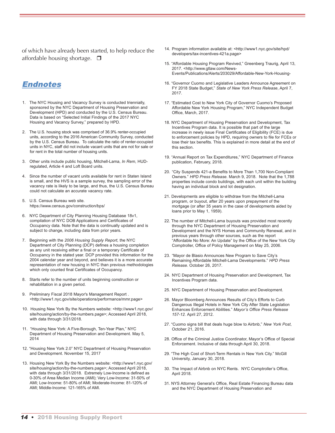of which have already been started, to help reduce the affordable housing shortage.  $\square$ 

## Endnotes

- 1. The NYC Housing and Vacancy Survey is conducted triennially, sponsored by the NYC Department of Housing Preservation and Development (HPD) and conducted by the U.S. Census Bureau. Data is based on "Selected Initial Findings of the 2017 NYC Housing and Vacancy Survey," prepared by HPD.
- 2. The U.S. housing stock was comprised of 36.9% renter-occupied units, according to the 2016 American Community Survey, conducted by the U.S. Census Bureau. To calculate the ratio of renter-occupied units in NYC, staff did not include vacant units that are not for sale or for rent in the total number of housing units.
- 3. Other units include public housing, Mitchell-Lama, *In Rem*, HUDregulated, Article 4 and Loft Board units.
- 4. Since the number of vacant units available for rent in Staten Island is small, and the HVS is a sample survey, the sampling error of the vacancy rate is likely to be large, and thus, the U.S. Census Bureau could not calculate an accurate vacancy rate.
- 5. U.S. Census Bureau web site. https://www.census.gov/construction/bps/
- 6. NYC Department of City Planning Housing Database 18v1, compilation of NYC DOB Applications and Certificates of Occupancy data. Note that the data is continually updated and is subject to change, including data from prior years.
- 7. Beginning with the *2006 Housing Supply Report,* the NYC Department of City Planning (DCP) defines a housing completion as any unit receiving either a final or a temporary Certificate of Occupancy in the stated year. DCP provided this information for the 2004 calendar year and beyond, and believes it is a more accurate representation of new housing in NYC than previous methodologies which only counted final Certificates of Occupancy.
- 8. Starts refer to the number of units beginning construction or rehabilitation in a given period.
- 9. Preliminary Fiscal 2018 Mayor's Management Report . <http://www1.nyc.gov/site/operations/performance/mmr.page>
- 10. Housing New York By the Numbers website: <http://www1.nyc.gov/ site/housing/action/by-the-numbers.page>; Accessed April 2018, with data through 3/31/2018.
- 11. "Housing New York: A Five-Borough, Ten-Year Plan," NYC Department of Housing Preservation and Development. May 5, 2014
- 12. "Housing New York 2.0" NYC Department of Housing Preservation and Development. November 15, 2017
- 13. Housing New York By the Numbers website: <http://www1.nyc.gov/ site/housing/action/by-the-numbers.page>; Accessed April 2018, with data through 3/31/2018. Extremely Low-Income is defined as 0-30% of Area Median Income (AMI); Very Low-Income: 31-50% of AMI; Low-Income: 51-80% of AMI; Moderate-Income: 81-120% of AMI; Middle-Income: 121-165% of AMI.
- 14. Program information available at: <http://www1.nyc.gov/site/hpd/ developers/tax-incentives-421a.page>
- 15. "Affordable Housing Program Revived," Greenberg Traurig, April 13, 2017. <http://www.gtlaw.com/News-Events/Publications/Alerts/203029/Affordable-New-York-Housing-
- 16. "Governor Cuomo and Legislative Leaders Announce Agreement on FY 2018 State Budget," *State of New York Press Release*, April 7, 2017.
- 17. "Estimated Cost to New York City of Governor Cuomo's Proposed Affordable New York Housing Program," NYC Independent Budget Office, March, 2017.
- 18. NYC Department of Housing Preservation and Development, Tax Incentives Program data. It is possible that part of the large increase in newly issue Final Certificates of Eligibility (FCE) is due to enforcement policies by HPD, requiring owners to file for FCEs or lose their tax benefits. This is explained in more detail at the end of this section.
- 19. "Annual Report on Tax Expenditures," NYC Department of Finance publication, February, 2018.
- 20. "City Suspends 421-a Benefits to More Than 1,700 Non-Compliant Owners." *HPD Press Release.* March 9, 2018. Note that the 1,788 properties include condo buildings, with each unit within the building having an individual block and lot designation.
- 21. Developments are eligible to withdraw from the Mitchell-Lama program, or buyout, after 20 years upon prepayment of the mortgage (or after 35 years in the case of developments aided by loans prior to May 1, 1959).
- 22. The number of Mitchell-Lama buyouts was provided most recently through the NYC Department of Housing Preservation and Development and the NYS Homes and Community Renewal, and in previous years through other sources, such as the report "Affordable No More: An Update" by the Office of the New York City Comptroller, Office of Policy Management on May 25, 2006.
- 23. "Mayor de Blasio Announces New Program to Save City's Remaining Affordable Mitchell-Lama Developments." *HPD Press Release.* October 26, 2017.
- 24. NYC Department of Housing Preservation and Development, Tax Incentives Program data.
- 25. NYC Department of Housing Preservation and Development.
- 26. Mayor Bloomberg Announces Results of City's Efforts to Curb Dangerous Illegal Hotels in New York City After State Legislation Enhances Enforcement Abilities." *Mayor's Office Press Release 157-12.* April 27, 2012.
- 27. "Cuomo signs bill that deals huge blow to Airbnb," *New York Post*, October 21, 2016.
- 28. Office of the Criminal Justice Coordinator, Mayor's Office of Special Enforcement. Inclusive of data through April 30, 2018.
- 29. "The High Cost of Short-Term Rentals in New York City." McGill University, January 30, 2018.
- 30. The Impact of Airbnb on NYC Rents. NYC Comptroller's Office, April 2018.
- 31. NYS Attorney General's Office, Real Estate Financing Bureau data and the NYC Department of Housing Preservation and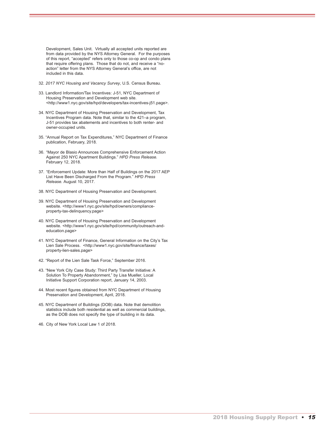Development, Sales Unit. Virtually all accepted units reported are from data provided by the NYS Attorney General. For the purposes of this report, "accepted" refers only to those co-op and condo plans that require offering plans. Those that do not, and receive a "noaction" letter from the NYS Attorney General's office, are not included in this data.

- 32. *2017 NYC Housing and Vacancy Survey*, U.S. Census Bureau.
- 33. Landlord Information/Tax Incentives: J-51, NYC Department of Housing Preservation and Development web site. <http://www1.nyc.gov/site/hpd/developers/tax-incentives-j51.page>.
- 34. NYC Department of Housing Preservation and Development, Tax Incentives Program data. Note that, similar to the 421–a program, J-51 provides tax abatements and incentives to both renter- and owner-occupied units.
- 35. "Annual Report on Tax Expenditures," NYC Department of Finance publication, February, 2018.
- 36. "Mayor de Blasio Announces Comprehensive Enforcement Action Against 250 NYC Apartment Buildings." *HPD Press Release.* February 12, 2018.
- 37. "Enforcement Update: More than Half of Buildings on the 2017 AEP List Have Been Discharged From the Program." *HPD Press Release.* August 10, 2017.
- 38. NYC Department of Housing Preservation and Development.
- 39. NYC Department of Housing Preservation and Development website. <http://www1.nyc.gov/site/hpd/owners/complianceproperty-tax-delinquency.page>
- 40. NYC Department of Housing Preservation and Development website. <http://www1.nyc.gov/site/hpd/community/outreach-andeducation.page>
- 41. NYC Department of Finance, General Information on the City's Tax Lien Sale Process. <http://www1.nyc.gov/site/finance/taxes/ property-lien-sales.page>
- 42. "Report of the Lien Sale Task Force," September 2016.
- 43. "New York City Case Study: Third Party Transfer Initiative: A Solution To Property Abandonment," by Lisa Mueller, Local Initiative Support Corporation report, January 14, 2003.
- 44. Most recent figures obtained from NYC Department of Housing Preservation and Development, April, 2018.
- 45. NYC Department of Buildings (DOB) data. Note that demolition statistics include both residential as well as commercial buildings, as the DOB does not specify the type of building in its data.
- 46. City of New York Local Law 1 of 2018.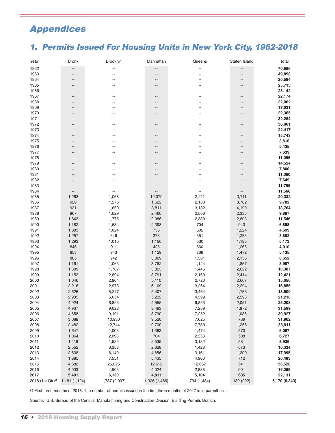## Appendices

## 1. Permits Issued For Housing Units in New York City, 1962-2018

| Year                    | <u>Bronx</u>  | Brooklyn                 | Manhattan     | Queens                   | Staten Island     | <b>Total</b>  |
|-------------------------|---------------|--------------------------|---------------|--------------------------|-------------------|---------------|
| 1962                    | --            |                          | --            |                          | --                | 70,686        |
| 1963                    | --            |                          | --            |                          | --                | 49,898        |
| 1964                    |               |                          |               |                          | --                | 20,594        |
| 1965                    | --            |                          | --            |                          | --                | 25,715        |
| 1966                    |               |                          |               |                          | --                | 23,142        |
| 1967                    |               |                          |               |                          | --                | 22,174        |
| 1968                    | --            |                          |               |                          | --                | 22,062        |
| 1969                    |               |                          |               |                          | --                | 17,031        |
| 1970                    | --            |                          |               |                          | --                | 22,365        |
| 1971                    |               |                          |               |                          | --                | 32,254        |
| 1972                    |               |                          |               |                          | --                | 36,061        |
| 1973                    |               |                          |               |                          | --                | 22,417        |
|                         |               |                          |               |                          |                   |               |
| 1974                    |               |                          |               |                          | --                | 15,743        |
| 1975                    | --            |                          | --            | --                       | --                | 3,810         |
| 1976                    |               |                          |               |                          | --                | 5,435         |
| 1977                    |               |                          |               |                          | --                | 7,639         |
| 1978                    |               |                          |               | --                       | --                | 11,096        |
| 1979                    |               |                          |               |                          | --                | 14,524        |
| 1980                    | --            |                          |               |                          | --                | 7,800         |
| 1981                    |               |                          |               |                          | --                | 11,060        |
| 1982                    |               |                          |               |                          | --                | 7,649         |
| 1983                    |               |                          | --            | --                       | $\qquad \qquad -$ | 11,795        |
| 1984                    | --            | $\overline{\phantom{a}}$ | --            | $\overline{\phantom{a}}$ | --                | 11,566        |
| 1985                    | 1,263         | 1,068                    | 12,079        | 2,211                    | 3,711             | 20,332        |
| 1986                    | 920           | 1,278                    | 1,622         | 2,180                    | 3,782             | 9,782         |
| 1987                    | 931           | 1,650                    | 3,811         | 3,182                    | 4,190             | 13,764        |
| 1988                    | 967           | 1,629                    | 2,460         | 2,506                    | 2,335             | 9,897         |
| 1989                    | 1,643         | 1,775                    | 2,986         | 2,339                    | 2,803             | 11,546        |
| 1990                    | 1,182         | 1,634                    | 2,398         | 704                      | 940               | 6,858         |
| 1991                    | 1,093         | 1,024                    | 756           | 602                      | 1,224             | 4,699         |
| 1992                    | 1,257         | 646                      | 373           | 351                      | 1,255             | 3,882         |
| 1993                    | 1,293         | 1,015                    | 1,150         | 530                      | 1,185             | 5,173         |
| 1994                    | 846           | 911                      | 428           | 560                      | 1,265             | 4,010         |
| 1995                    | 853           | 943                      | 1,129         | 738                      | 1,472             | 5,135         |
| 1996                    | 885           | 942                      | 3,369         | 1,301                    | 2,155             | 8,652         |
| 1997                    | 1,161         | 1,063                    | 3,762         | 1,144                    | 1,857             | 8,987         |
| 1998                    | 1,309         | 1,787                    | 3,823         | 1,446                    | 2,022             | 10,387        |
| 1999                    | 1,153         | 2,894                    | 3,791         | 2,169                    | 2,414             | 12,421        |
| 2000                    | 1,646         | 2,904                    | 5,110         | 2,723                    | 2,667             | 15,050        |
| 2001                    | 2,216         | 2,973                    | 6,109         | 3,264                    | 2,294             | 16,856        |
| 2002                    | 2,626         | 5,247                    | 5,407         | 3,464                    | 1,756             | 18,500        |
| 2003                    | 2,935         | 6,054                    | 5,232         | 4,399                    | 2,598             | 21,218        |
| 2004                    | 4,924         | 6,825                    | 4,555         | 6,853                    | 2,051             | 25,208        |
| 2005                    | 4,937         | 9,028                    | 8,493         | 7,269                    | 1,872             | 31,599        |
| 2006                    | 4,658         | 9,191                    | 8,790         | 7,252                    | 1,036             | 30,927        |
| 2007                    | 3,088         | 10,930                   | 9,520         | 7,625                    | 739               | 31,902        |
| 2008                    | 2,482         | 12,744                   | 9,700         | 7,730                    | 1,255             | 33,911        |
|                         |               |                          |               |                          | 570               | 6,057         |
| 2009                    | 1,647         | 1,003                    | 1,363         | 1,474                    |                   |               |
| 2010                    | 1,064         | 2,093                    | 704           | 2,358                    | 508               | 6,727         |
| 2011                    | 1,116         | 1,522                    | 2,535         | 3,182                    | 581               | 8,936         |
| 2012                    | 2,552         | 3,353                    | 2,328         | 1,428                    | 673               | 10,334        |
| 2013                    | 2,638         | 6,140                    | 4,856         | 3,161                    | 1,200             | 17,995        |
| 2014                    | 1,885         | 7,551                    | 5,435         | 4,900                    | 712               | 20,483        |
| 2015                    | 4,682         | 26,026                   | 12,612        | 12,667                   | 541               | 56,528        |
| 2016                    | 4,003         | 4,503                    | 4,024         | 2,838                    | 901               | 16,269        |
| 2017                    | 5,401         | 6,130                    | 4,811         | 5,104                    | 685               | 22,131        |
| 2018 (1st Qtr) $\Omega$ | 1,181 (1,124) | 1,737 (2,097)            | 1,326 (1,486) | 794 (1,434)              | 132 (202)         | 5,170 (6,343) |

Ω First three months of 2018. The number of permits issued in the first three months of 2017 is in parenthesis.

Source: U.S. Bureau of the Census, Manufacturing and Construction Division, Building Permits Branch.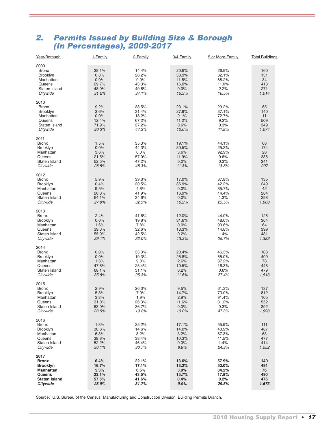## 2. Permits Issued by Building Size & Borough (In Percentages), 2009-2017

| Year/Borough                                                                                              | 1-Family                                         | 2-Family                                           | 3/4 Family                                        | 5 or More-Family                                  | <b>Total Buildings</b>                   |
|-----------------------------------------------------------------------------------------------------------|--------------------------------------------------|----------------------------------------------------|---------------------------------------------------|---------------------------------------------------|------------------------------------------|
| 2009<br><b>Bronx</b><br>Brooklyn<br>Manhattan<br>Queens<br>Staten Island<br>Citywide                      | 38.1%<br>0.8%<br>0.0%<br>29.7%<br>48.0%<br>31.2% | 14.4%<br>28.2%<br>0.0%<br>43.3%<br>49.8%<br>37.1%  | 20.6%<br>38.9%<br>11.8%<br>16.0%<br>0.0%<br>15.3% | 26.9%<br>32.1%<br>88.2%<br>11.0%<br>2.2%<br>16.5% | 160<br>131<br>34<br>418<br>271<br>1,014  |
| 2010<br><b>Bronx</b><br>Brooklyn<br>Manhattan<br>Queens<br>Staten Island<br>Citywide                      | 9.2%<br>3.6%<br>0.0%<br>12.4%<br>71.9%<br>30.3%  | 38.5%<br>31.4%<br>18.2%<br>67.2%<br>27.2%<br>47.3% | 23.1%<br>27.9%<br>9.1%<br>11.2%<br>0.6%<br>10.6%  | 29.2%<br>37.1%<br>72.7%<br>9.2%<br>0.3%<br>11.8%  | 65<br>140<br>11<br>509<br>349<br>1,074   |
| 2011<br><b>Bronx</b><br>Brooklyn<br>Manhattan<br>Queens<br>Staten Island<br>Citywide                      | 1.5%<br>0.0%<br>3.6%<br>21.5%<br>52.5%<br>26.5%  | 35.3%<br>44.3%<br>0.0%<br>57.0%<br>47.2%<br>48.3%  | 19.1%<br>30.5%<br>3.6%<br>11.9%<br>0.0%<br>11.3%  | 44.1%<br>25.3%<br>92.9%<br>9.6%<br>0.3%<br>13.8%  | 68<br>174<br>28<br>386<br>341<br>997     |
| 2012<br><b>Bronx</b><br>Brooklyn<br>Manhattan<br>Queens<br>Staten Island<br>Citywide                      | 5.9%<br>0.4%<br>9.5%<br>26.8%<br>64.1%<br>27.8%  | 39.3%<br>20.5%<br>4.8%<br>41.9%<br>34.6%<br>32.5%  | 17.0%<br>36.9%<br>0.0%<br>16.9%<br>0.0%<br>16.2%  | 37.8%<br>42.2%<br>85.7%<br>14.4%<br>1.3%<br>23.5% | 135<br>249<br>42<br>284<br>298<br>1,008  |
| 2013<br><b>Bronx</b><br>Brooklyn<br>Manhattan<br>Queens<br>Staten Island<br>Citywide                      | 2.4%<br>0.0%<br>1.6%<br>39.3%<br>55.9%<br>29.1%  | 41.6%<br>19.8%<br>7.8%<br>32.6%<br>42.5%<br>32.0%  | 12.0%<br>31.6%<br>0.0%<br>13.3%<br>0.2%<br>13.3%  | 44.0%<br>48.6%<br>90.6%<br>14.8%<br>1.4%<br>25.7% | 125<br>364<br>64<br>399<br>431<br>1,383  |
| 2014<br><b>Bronx</b><br>Brooklyn<br>Manhattan<br>Queens<br>Staten Island<br>Citywide                      | 0.0%<br>0.0%<br>1.3%<br>47.8%<br>68.1%<br>35.8%  | 33.3%<br>19.3%<br>9.0%<br>25.4%<br>31.1%<br>25.3%  | 20.4%<br>25.8%<br>2.6%<br>10.5%<br>0.2%<br>11.6%  | 46.3%<br>55.0%<br>87.2%<br>16.3%<br>0.6%<br>27.4% | 108<br>400<br>78<br>448<br>479<br>1,513  |
| 2015<br><b>Bronx</b><br>Brooklyn<br>Manhattan<br>Queens<br>Staten Island<br>Citywide                      | 2.9%<br>5.3%<br>3.8%<br>31.0%<br>63.0%<br>23.5%  | 26.3%<br>7.0%<br>1.9%<br>26.3%<br>36.7%<br>19.2%   | 9.5%<br>14.7%<br>2.9%<br>11.6%<br>0.0%<br>10.0%   | 61.3%<br>73.0%<br>91.4%<br>31.2%<br>0.3%<br>47.3% | 137<br>812<br>105<br>552<br>392<br>1,998 |
| 2016<br><b>Bronx</b><br><b>Brooklyn</b><br>Manhattan<br>Queens<br>Staten Island<br>Citywide               | 1.8%<br>30.6%<br>6.3%<br>39.8%<br>52.2%<br>36.1% | 25.2%<br>14.6%<br>3.2%<br>38.4%<br>46.4%<br>30.7%  | 17.1%<br>14.0%<br>3.2%<br>10.3%<br>0.0%<br>8.9%   | 55.9%<br>40.9%<br>87.3%<br>11.5%<br>1.4%<br>24.3% | 111<br>487<br>63<br>477<br>414<br>1,552  |
| 2017<br><b>Bronx</b><br><b>Brooklyn</b><br><b>Manhattan</b><br>Queens<br><b>Staten Island</b><br>Citywide | 6.4%<br>16.7%<br>5.3%<br>23.1%<br>57.8%<br>28.9% | 22.1%<br>17.1%<br>6.6%<br>43.5%<br>41.6%<br>31.7%  | 13.6%<br>13.2%<br>3.9%<br>15.7%<br>0.4%<br>9.9%   | 57.9%<br>53.0%<br>84.2%<br>17.8%<br>0.2%<br>29.5% | 140<br>491<br>76<br>490<br>476<br>1,673  |

Source: U.S. Bureau of the Census, Manufacturing and Construction Division, Building Permits Branch.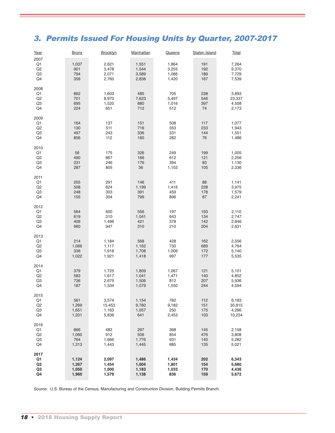## 3. Permits Issued For Housing Units by Quarter, 2007-2017

| Year                                                             | <u>Bronx</u>                     | <b>Brooklyn</b>                   | <b>Manhattan</b>                 | <b>Queens</b>                    | <b>Staten Island</b>     | <b>Total</b>                       |
|------------------------------------------------------------------|----------------------------------|-----------------------------------|----------------------------------|----------------------------------|--------------------------|------------------------------------|
| 2007<br>Q <sub>1</sub><br>Q2<br>Q3<br>Q4                         | 1,037<br>901<br>794<br>356       | 2,621<br>3,478<br>2,071<br>2,760  | 1,551<br>1,544<br>3,589<br>2,836 | 1,864<br>3,255<br>1,086<br>1,420 | 191<br>192<br>189<br>167 | 7,264<br>9,370<br>7,729<br>7,539   |
| 2008<br>Q1<br>Q2<br>Q3<br>Q4                                     | 862<br>701<br>695<br>224         | 1,603<br>8,970<br>1,520<br>651    | 485<br>7,623<br>880<br>712       | 705<br>5,497<br>1,016<br>512     | 238<br>546<br>397<br>74  | 3,893<br>23,337<br>4,508<br>2,173  |
| 2009<br>Q1<br>Q2<br>Q3<br>Q4                                     | 164<br>130<br>497<br>856         | 137<br>511<br>243<br>112          | 151<br>716<br>336<br>160         | 508<br>353<br>331<br>282         | 117<br>233<br>144<br>76  | 1,077<br>1,943<br>1,551<br>1,486   |
| 2010<br>Q1<br>Q2<br>Q3<br>Q4                                     | 56<br>490<br>231<br>287          | 175<br>867<br>246<br>805          | 326<br>166<br>176<br>36          | 249<br>612<br>394<br>1,103       | 199<br>121<br>83<br>105  | 1,005<br>2,256<br>1,130<br>2,336   |
| 2011<br>Q1<br>Q2<br>Q3<br>Q4                                     | 205<br>508<br>248<br>155         | 291<br>624<br>303<br>304          | 146<br>1,199<br>391<br>799       | 411<br>1,416<br>459<br>896       | 88<br>228<br>178<br>87   | 1,141<br>3,975<br>1,579<br>2,241   |
| 2012<br>Q1<br>Q2<br>Q3<br>Q4                                     | 564<br>619<br>409<br>960         | 600<br>310<br>1,496<br>947        | 556<br>1,041<br>421<br>310       | 197<br>643<br>378<br>210         | 193<br>134<br>142<br>204 | 2,110<br>2,747<br>2,846<br>2,631   |
| 2013<br>Q1<br>Q2<br>Q3<br>Q4                                     | 214<br>1,066<br>336<br>1,022     | 1,184<br>1,117<br>1,918<br>1,921  | 568<br>1,162<br>1,708<br>1,418   | 428<br>730<br>1,006<br>997       | 162<br>689<br>172<br>177 | 2,556<br>4,764<br>5,140<br>5,535   |
| 2014<br>Q1<br>Q2<br>Q3<br>Q4                                     | 379<br>583<br>736<br>187         | 1,725<br>1,617<br>2,675<br>1,534  | 1,809<br>1,041<br>1,506<br>1,079 | 1,067<br>1,471<br>812<br>1,550   | 121<br>140<br>207<br>244 | 5,101<br>4,852<br>5,936<br>4,594   |
| 2015<br>Q <sub>1</sub><br>Q2<br>Q3<br>Q4                         | 561<br>1,269<br>1,651<br>1,201   | 3,574<br>15,453<br>1,163<br>5,836 | 1,154<br>9,760<br>1,057<br>641   | 782<br>9,182<br>250<br>2,453     | 112<br>151<br>175<br>103 | 6,183<br>35,815<br>4,296<br>10,234 |
| 2016<br>Q1<br>Q2<br>Q3<br>Q4                                     | 866<br>1,060<br>764<br>1,313     | 482<br>912<br>1,666<br>1,443      | 297<br>506<br>1,776<br>1,445     | 368<br>854<br>931<br>685         | 145<br>476<br>145<br>135 | 2,158<br>3,808<br>5,282<br>5,021   |
| 2017<br>Q1<br>Q <sub>2</sub><br>Q <sub>3</sub><br>Q <sub>4</sub> | 1,124<br>1,267<br>1,050<br>1,960 | 2,097<br>1,454<br>1,000<br>1,579  | 1,486<br>1,004<br>1,183<br>1,138 | 1,434<br>1,801<br>1,033<br>836   | 202<br>154<br>170<br>159 | 6,343<br>5,680<br>4,436<br>5,672   |

Source: U.S. Bureau of the Census, Manufacturing and Construction Division, Building Permits Branch.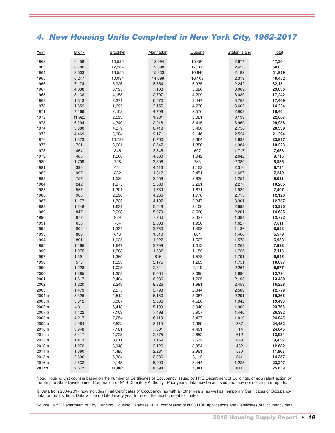## 4. New Housing Units Completed in New York City, 1962-2017

| Year         | <b>Bronx</b> | Brooklyn | Manhattan | <b>Queens</b> | Staten Island | Total  |
|--------------|--------------|----------|-----------|---------------|---------------|--------|
| 1962         | 6,458        | 10,595   | 12,094    | 15,480        | 2,677         | 47,304 |
| 1963         | 8,780        | 12,264   | 19,398    | 17,166        | 2,423         | 60,031 |
| 1964         | 9,503        | 13,555   | 15,833    | 10,846        | 2,182         | 51,919 |
| 1965         | 6,247        | 10,084   | 14,699    | 16,103        | 2,319         | 49,452 |
| 1966         | 7,174        | 6,926    | 8,854     | 6,935         | 2,242         | 32,131 |
| 1967         | 4,038        | 3,195    | 7,108     | 5,626         | 3,069         | 23,036 |
| 1968         | 3,138        | 4,158    | 2,707     | 4,209         | 3,030         | 17,242 |
| 1969         | 1,313        | 2,371    | 6,570     | 3,447         | 3,768         | 17,469 |
| 1970         | 1,652        | 1,695    | 3,155     | 4,230         | 3,602         | 14,334 |
| 1971         | 7,169        | 2,102    | 4,708     | 2,576         | 2,909         | 19,464 |
| 1972         | 11,923       | 2,593    | 1,931     | 3,021         | 3,199         | 22,667 |
| 1973         | 6,294        | 4,340    | 2,918     | 3,415         | 3,969         | 20,936 |
| 1974         | 3,380        | 4,379    | 6,418     | 3,406         | 2,756         | 20,339 |
| 1975         | 4,469        | 3,084    | 9,171     | 2,146         | 2,524         | 21,394 |
| 1976         | 1,373        | 10,782   | 6,760     | 3,364         | 1,638         | 23,917 |
| 1977         | 721          | 3,621    | 2,547     | 1,350         | 1,984         | 10,223 |
| 1978         | 464          | 345      | 3,845     | 697           | 1,717         | 7,068  |
| 1979         | 405          | 1,566    | 4,060     | 1,042         | 2,642         | 9,715  |
| 1980         | 1,709        | 708      | 3,306     | 783           | 2,380         | 8,886  |
| 1981         | 396          | 454      | 4,416     | 1,152         | 2,316         | 8,734  |
| 1982         | 997          | 332      | 1,812     | 2,451         | 1,657         | 7,249  |
| 1983         | 757          | 1,526    | 2,558     | 2,926         | 1,254         | 9,021  |
| 1984         | 242          | 1,975    | 3,500     | 2,291         | 2,277         | 10,285 |
| 1985         | 557          | 1,301    | 1,739     | 1,871         | 1,939         | 7,407  |
| 1986         | 968          | 2,398    | 4,266     | 1,776         | 2,715         | 12,123 |
| 1987         | 1,177        | 1,735    | 4,197     | 2,347         | 3,301         | 12,757 |
| 1988         | 1,248        | 1,631    | 5,548     | 2,100         | 2,693         | 13,220 |
| 1989         | 847          | 2,098    | 5,979     | 3,560         | 2,201         | 14,685 |
| 1990         | 872          | 929      | 7,260     | 2,327         | 1,384         | 12,772 |
| 1991         | 656          | 764      | 2,608     | 1,956         | 1,627         | 7,611  |
| 1992         | 802          | 1,337    | 3,750     | 1,498         | 1,136         | 8,523  |
| 1993         | 886          | 616      | 1,810     | 801           | 1,466         | 5,579  |
| 1994         | 891          | 1,035    | 1,927     | 1,527         | 1,573         | 6,953  |
| 1995         | 1,166        | 1,647    | 2,798     | 1,013         | 1,268         | 7,892  |
| 1996         | 1,075        | 1,583    | 1,582     | 1,152         | 1,726         | 7,118  |
| 1997         | 1,391        | 1,369    | 816       | 1,578         | 1,791         | 6,945  |
| 1998         | 575          | 1,333    | 5,175     | 1,263         | 1,751         | 10,097 |
| 1999         | 1,228        | 1,025    | 2,341     | 2,119         | 2,264         | 8,977  |
| 2000         |              | 1,353    |           |               |               | 12,794 |
|              | 1,385        |          | 6,064     | 2,096         | 1,896         |        |
| 2001         | 1,617        | 2,404    | 6,036     | 1,225         | 2,198         | 13,480 |
| 2002<br>2003 | 1,220        | 2,248    | 8,326     | 1,981         | 2,453         | 16,228 |
|              | 1,473        | 2,575    | 3,798     | 2,344         | 2,589         | 12,779 |
| 2004 π       | 3,326        | 4,512    | 6,150     | 3,087         | 2,291         | 19,366 |
| 2005 π       | 3,012        | 5,007    | 5,006     | 4,526         | 1,942         | 19,493 |
| 2006 π       | 4,311        | 6,418    | 5,199     | 5,940         | 1,900         | 23,768 |
| $2007$ π     | 4,422        | 7,109    | 7,498     | 5,907         | 1,446         | 26,382 |
| 2008 π       | 4,217        | 7,254    | 6,118     | 5,437         | 1,019         | 24,045 |
| 2009 π       | 2,964        | 7,522    | 8,110     | 4,969         | 887           | 24,452 |
| 2010 π       | 3,948        | 7,181    | 7,801     | 4,401         | 714           | 24,045 |
| 2011 π       | 3,417        | 4,728    | 2,375     | 2,852         | 612           | 13,984 |
| 2012 π       | 1,413        | 3,611    | 1,159     | 2,632         | 640           | 9,455  |
| 2013 π       | 1,272        | 3,948    | 3,126     | 3,854         | 482           | 12,682 |
| 2014 π       | 1,660        | 4,485    | 2,231     | 2,961         | 530           | 11,867 |
| 2015 π       | 2,396        | 5,324    | 2,986     | 3,110         | 541           | 14,357 |
| 2016 π       | 2,532        | 9,148    | 6,900     | 3,444         | 1,223         | 23,247 |
| $2017\pi$    | 2,672        | 11,065   | 6,390     | 5,041         | 671           | 25,839 |

Note: Housing unit count is based on the number of Certificates of Occupancy issued by NYC Department of Buildings, or equivalent action by the Empire State Development Corporation or NYS Dormitory Authority. Prior years' data may be adjusted and may not match prior reports.

π Data from 2004-2017 now includes Final Certificates of Occupancy (as with all other years) as well as Temporary Certificates of Occupancy data for the first time. Data will be updated every year to reflect the most current estimates.

Source: NYC Department of City Planning, Housing Database 18v1, compilation of NYC DOB Applications and Certificates of Occupancy data.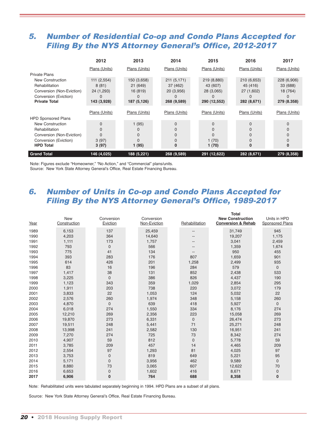## 5. Number of Residential Co-op and Condo Plans Accepted for Filing By the NYS Attorney General's Office, 2012-2017

|                                                                                                                                          | 2012                                                   | 2013                                               | 2014                                                 | 2015                                                  | 2016                                                 | 2017                                               |
|------------------------------------------------------------------------------------------------------------------------------------------|--------------------------------------------------------|----------------------------------------------------|------------------------------------------------------|-------------------------------------------------------|------------------------------------------------------|----------------------------------------------------|
|                                                                                                                                          | Plans (Units)                                          | Plans (Units)                                      | Plans (Units)                                        | Plans (Units)                                         | Plans (Units)                                        | Plans (Units)                                      |
| <b>Private Plans</b><br>New Construction<br>Rehabilitation<br>Conversion (Non-Eviction)<br>Conversion (Eviction)<br><b>Private Total</b> | 111 (2,554)<br>8(81)<br>24 (1,293)<br>0<br>143 (3,928) | 150 (3,658)<br>21 (649)<br>16 (819)<br>187 (5,126) | 211 (5,171)<br>37 (462)<br>20 (3,956)<br>268 (9,589) | 219 (8,880)<br>43 (607)<br>28 (3,065)<br>290 (12,552) | 210 (6,653)<br>45 (416)<br>27 (1,602)<br>282 (8,671) | 228 (6,906)<br>33 (688)<br>18 (764)<br>279 (8.358) |
| <b>HPD Sponsored Plans</b>                                                                                                               | Plans (Units)                                          | Plans (Units)                                      | Plans (Units)                                        | Plans (Units)                                         | Plans (Units)                                        | Plans (Units)                                      |
| New Construction<br>Rehabilitation<br>Conversion (Non-Eviction)<br>Conversion (Eviction)                                                 | $\Omega$<br>$\Omega$<br>3(97)                          | 1(95)                                              | $\Omega$                                             | $\Omega$<br>1(70)                                     | $\Omega$                                             |                                                    |
| <b>HPD Total</b><br><b>Grand Total</b>                                                                                                   | 3(97)<br>146 (4,025)                                   | 1(95)<br>188 (5,221)                               | 0<br>268 (9,589)                                     | 1(70)<br>291 (12,622)                                 | 0<br>282 (8,671)                                     | 279 (8,358)                                        |

Note: Figures exclude "Homeowner," "No Action," and "Commercial" plans/units. Source: New York State Attorney General's Office, Real Estate Financing Bureau.

## 6. Number of Units in Co-op and Condo Plans Accepted for Filing By the NYS Attorney General's Office, 1989-2017

| Year | <b>New</b><br>Construction | Conversion<br>Eviction | Conversion<br>Non-Eviction | Rehabilitation | Total<br><b>New Construction</b><br><b>Conversion &amp; Rehab</b> | Units in HPD<br>Sponsored Plans |
|------|----------------------------|------------------------|----------------------------|----------------|-------------------------------------------------------------------|---------------------------------|
| 1989 | 6,153                      | 137                    | 25,459                     | --             | 31,749                                                            | 945                             |
| 1990 | 4,203                      | 364                    | 14,640                     | --             | 19,207                                                            | 1,175                           |
| 1991 | 1,111                      | 173                    | 1,757                      |                | 3,041                                                             | 2,459                           |
| 1992 | 793                        | $\mathbf{0}$           | 566                        |                | 1,359                                                             | 1,674                           |
| 1993 | 775                        | 41                     | 134                        | --             | 950                                                               | 455                             |
| 1994 | 393                        | 283                    | 176                        | 807            | 1,659                                                             | 901                             |
| 1995 | 614                        | 426                    | 201                        | 1,258          | 2,499                                                             | 935                             |
| 1996 | 83                         | 16                     | 196                        | 284            | 579                                                               | $\mathbf 0$                     |
| 1997 | 1,417                      | 38                     | 131                        | 852            | 2,438                                                             | 533                             |
| 1998 | 3,225                      | $\mathbf 0$            | 386                        | 826            | 4,437                                                             | 190                             |
| 1999 | 1,123                      | 343                    | 359                        | 1,029          | 2,854                                                             | 295                             |
| 2000 | 1,911                      | 203                    | 738                        | 220            | 3,072                                                             | 179                             |
| 2001 | 3,833                      | 22                     | 1,053                      | 124            | 5,032                                                             | 22                              |
| 2002 | 2,576                      | 260                    | 1,974                      | 348            | 5,158                                                             | 260                             |
| 2003 | 4,870                      | $\overline{0}$         | 639                        | 418            | 5,927                                                             | $\bf 0$                         |
| 2004 | 6,018                      | 274                    | 1,550                      | 334            | 8,176                                                             | 274                             |
| 2005 | 12,210                     | 269                    | 2,356                      | 223            | 15,058                                                            | 269                             |
| 2006 | 19,870                     | 273                    | 6,331                      | $\mathbf 0$    | 26,474                                                            | 273                             |
| 2007 | 19,511                     | 248                    | 5,441                      | 71             | 25,271                                                            | 248                             |
| 2008 | 13,998                     | 241                    | 2,582                      | 130            | 16,951                                                            | 241                             |
| 2009 | 7,270                      | 274                    | 725                        | 73             | 8,342                                                             | 274                             |
| 2010 | 4,907                      | 59                     | 812                        | $\overline{0}$ | 5,778                                                             | 59                              |
| 2011 | 3,785                      | 209                    | 457                        | 14             | 4,465                                                             | 209                             |
| 2012 | 2,554                      | 97                     | 1,293                      | 81             | 4,025                                                             | 97                              |
| 2013 | 3,753                      | $\mathbf 0$            | 819                        | 649            | 5,221                                                             | 95                              |
| 2014 | 5,171                      | $\mathbf{0}$           | 3,956                      | 462            | 9,589                                                             | $\mathbf 0$                     |
| 2015 | 8,880                      | 73                     | 3,065                      | 607            | 12,622                                                            | 70                              |
| 2016 | 6,653                      | 0                      | 1,602                      | 416            | 8,671                                                             | $\mathbf 0$                     |
| 2017 | 6,906                      | $\mathbf{0}$           | 764                        | 688            | 8,358                                                             | $\bf{0}$                        |

Note: Rehabilitated units were tabulated separately beginning in 1994. HPD Plans are a subset of all plans.

Source: New York State Attorney General's Office, Real Estate Financing Bureau.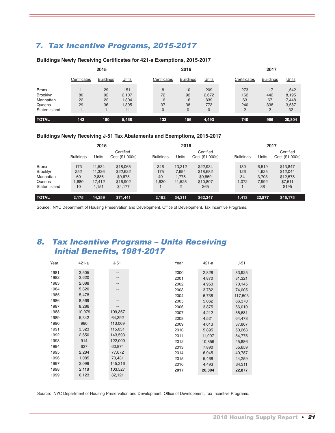## 7. Tax Incentive Programs, 2015-2017

#### **Buildings Newly Receiving Certificates for 421-a Exemptions, 2015-2017**

|                                                                  | 2015                 |                      |                                      |  |                     | 2016                      |                                 | 2017                         |                              |                                        |  |  |
|------------------------------------------------------------------|----------------------|----------------------|--------------------------------------|--|---------------------|---------------------------|---------------------------------|------------------------------|------------------------------|----------------------------------------|--|--|
|                                                                  | Certificates         | <b>Buildings</b>     | Units                                |  | Certificates        | <b>Buildings</b>          | Units                           | Certificates                 | <b>Buildings</b>             | Units                                  |  |  |
| <b>Bronx</b><br>Brooklyn<br>Manhattan<br>Queens<br>Staten Island | 11<br>80<br>22<br>29 | 29<br>92<br>22<br>36 | 151<br>2,107<br>1,804<br>1,395<br>11 |  | 8<br>72<br>16<br>37 | 10<br>92<br>16<br>38<br>0 | 209<br>2,672<br>839<br>773<br>0 | 273<br>162<br>63<br>240<br>C | 117<br>442<br>67<br>338<br>2 | 1,542<br>8,195<br>7,448<br>3,587<br>32 |  |  |
| <b>TOTAL</b>                                                     | 143                  | 180                  | 5,468                                |  | 133                 | 156                       | 4,493                           | 740                          | 966                          | 20,804                                 |  |  |

#### **Buildings Newly Receiving J-51 Tax Abatements and Exemptions, 2015-2017**

|                                                                  |                                 | 2015                                         |                                                        |                           | 2016                                    |                                                     |                           | 2017                                   |                                                      |  |  |
|------------------------------------------------------------------|---------------------------------|----------------------------------------------|--------------------------------------------------------|---------------------------|-----------------------------------------|-----------------------------------------------------|---------------------------|----------------------------------------|------------------------------------------------------|--|--|
|                                                                  | <b>Buildings</b>                | Units                                        | Certified<br>Cost (\$1,000s)                           | <b>Buildings</b>          | Units                                   | Certified<br>Cost (\$1,000s)                        | <b>Buildings</b>          | Units                                  | Certified<br>Cost (\$1,000s)                         |  |  |
| <b>Bronx</b><br>Brooklyn<br>Manhattan<br>Queens<br>Staten Island | 173<br>252<br>60<br>1.680<br>10 | 11,534<br>11,326<br>2,836<br>17.412<br>1,151 | \$18,065<br>\$22,622<br>\$9,675<br>\$16,902<br>\$4,177 | 346<br>175<br>40<br>1.630 | 13,312<br>7.694<br>1.778<br>11.525<br>2 | \$22,934<br>\$18,682<br>\$9,859<br>\$10,807<br>\$65 | 180<br>126<br>34<br>1.072 | 6.519<br>4,625<br>3.703<br>7,992<br>38 | \$13,847<br>\$12,044<br>\$12,578<br>\$7,511<br>\$195 |  |  |
| <b>TOTAL</b>                                                     | 2.175                           | 44,259                                       | \$71,441                                               | 2,192                     | 34,311                                  | \$62,347                                            | 1.413                     | 22,877                                 | \$46,175                                             |  |  |

Source: NYC Department of Housing Preservation and Development, Office of Development, Tax Incentive Programs.

## 8. Tax Incentive Programs – Units Receiving Initial Benefits, 1981-2017

| Year | $421 - a$ | $J-51$  | Year | $421 - a$ | $J - 51$ |
|------|-----------|---------|------|-----------|----------|
| 1981 | 3,505     | --      | 2000 | 2,828     | 83,925   |
| 1982 | 3,620     | --      | 2001 | 4,870     | 81,321   |
| 1983 | 2,088     | --      | 2002 | 4,953     | 70,145   |
| 1984 | 5,820     | --      | 2003 | 3,782     | 74,005   |
| 1985 | 5,478     | --      | 2004 | 6,738     | 117,503  |
| 1986 | 8,569     | --      | 2005 | 5,062     | 66,370   |
| 1987 | 8,286     | --      | 2006 | 3,875     | 66,010   |
| 1988 | 10,079    | 109,367 | 2007 | 4,212     | 55,681   |
| 1989 | 5,342     | 64,392  | 2008 | 4,521     | 64,478   |
| 1990 | 980       | 113,009 | 2009 | 4,613     | 37,867   |
| 1991 | 3,323     | 115,031 | 2010 | 5,895     | 50,263   |
| 1992 | 2,650     | 143,593 | 2011 | 11,007    | 54,775   |
| 1993 | 914       | 122,000 | 2012 | 10,856    | 45,886   |
| 1994 | 627       | 60,874  | 2013 | 7,890     | 55,659   |
| 1995 | 2,284     | 77,072  | 2014 | 6,945     | 40,787   |
| 1996 | 1,085     | 70,431  | 2015 | 5,468     | 44,259   |
| 1997 | 2,099     | 145,316 | 2016 | 4,493     | 34,311   |
| 1998 | 2,118     | 103,527 | 2017 | 20,804    | 22,877   |
| 1999 | 6,123     | 82,121  |      |           |          |

Source: NYC Department of Housing Preservation and Development, Office of Development, Tax Incentive Programs.